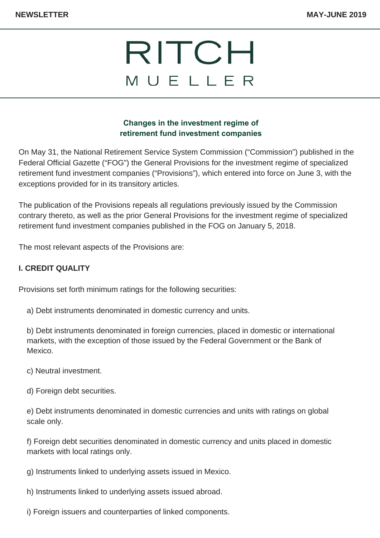### **Changes in the investment regime of retirement fund investment companies**

On May 31, the National Retirement Service System Commission ("Commission") published in the Federal Official Gazette ("FOG") the General Provisions for the investment regime of specialized retirement fund investment companies ("Provisions"), which entered into force on June 3, with the exceptions provided for in its transitory articles.

The publication of the Provisions repeals all regulations previously issued by the Commission contrary thereto, as well as the prior General Provisions for the investment regime of specialized retirement fund investment companies published in the FOG on January 5, 2018.

The most relevant aspects of the Provisions are:

## **I. CREDIT QUALITY**

Provisions set forth minimum ratings for the following securities:

a) Debt instruments denominated in domestic currency and units.

b) Debt instruments denominated in foreign currencies, placed in domestic or international markets, with the exception of those issued by the Federal Government or the Bank of Mexico.

c) Neutral investment.

d) Foreign debt securities.

e) Debt instruments denominated in domestic currencies and units with ratings on global scale only.

f) Foreign debt securities denominated in domestic currency and units placed in domestic markets with local ratings only.

g) Instruments linked to underlying assets issued in Mexico.

h) Instruments linked to underlying assets issued abroad.

i) Foreign issuers and counterparties of linked components.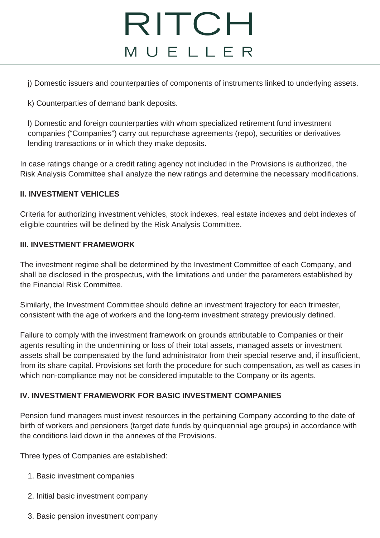j) Domestic issuers and counterparties of components of instruments linked to underlying assets.

k) Counterparties of demand bank deposits.

l) Domestic and foreign counterparties with whom specialized retirement fund investment companies ("Companies") carry out repurchase agreements (repo), securities or derivatives lending transactions or in which they make deposits.

In case ratings change or a credit rating agency not included in the Provisions is authorized, the Risk Analysis Committee shall analyze the new ratings and determine the necessary modifications.

#### **II. INVESTMENT VEHICLES**

Criteria for authorizing investment vehicles, stock indexes, real estate indexes and debt indexes of eligible countries will be defined by the Risk Analysis Committee.

#### **III. INVESTMENT FRAMEWORK**

The investment regime shall be determined by the Investment Committee of each Company, and shall be disclosed in the prospectus, with the limitations and under the parameters established by the Financial Risk Committee.

Similarly, the Investment Committee should define an investment trajectory for each trimester, consistent with the age of workers and the long-term investment strategy previously defined.

Failure to comply with the investment framework on grounds attributable to Companies or their agents resulting in the undermining or loss of their total assets, managed assets or investment assets shall be compensated by the fund administrator from their special reserve and, if insufficient, from its share capital. Provisions set forth the procedure for such compensation, as well as cases in which non-compliance may not be considered imputable to the Company or its agents.

### **IV. INVESTMENT FRAMEWORK FOR BASIC INVESTMENT COMPANIES**

Pension fund managers must invest resources in the pertaining Company according to the date of birth of workers and pensioners (target date funds by quinquennial age groups) in accordance with the conditions laid down in the annexes of the Provisions.

Three types of Companies are established:

- 1. Basic investment companies
- 2. Initial basic investment company
- 3. Basic pension investment company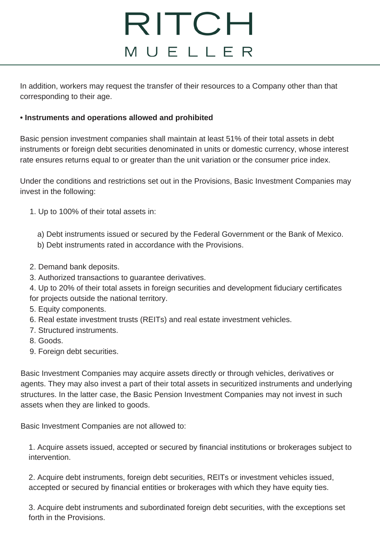In addition, workers may request the transfer of their resources to a Company other than that corresponding to their age.

### **• Instruments and operations allowed and prohibited**

Basic pension investment companies shall maintain at least 51% of their total assets in debt instruments or foreign debt securities denominated in units or domestic currency, whose interest rate ensures returns equal to or greater than the unit variation or the consumer price index.

Under the conditions and restrictions set out in the Provisions, Basic Investment Companies may invest in the following:

- 1. Up to 100% of their total assets in:
	- a) Debt instruments issued or secured by the Federal Government or the Bank of Mexico.
	- b) Debt instruments rated in accordance with the Provisions.
- 2. Demand bank deposits.
- 3. Authorized transactions to guarantee derivatives.
- 4. Up to 20% of their total assets in foreign securities and development fiduciary certificates for projects outside the national territory.
- 5. Equity components.
- 6. Real estate investment trusts (REITs) and real estate investment vehicles.
- 7. Structured instruments.
- 8. Goods.
- 9. Foreign debt securities.

Basic Investment Companies may acquire assets directly or through vehicles, derivatives or agents. They may also invest a part of their total assets in securitized instruments and underlying structures. In the latter case, the Basic Pension Investment Companies may not invest in such assets when they are linked to goods.

Basic Investment Companies are not allowed to:

1. Acquire assets issued, accepted or secured by financial institutions or brokerages subject to intervention.

2. Acquire debt instruments, foreign debt securities, REITs or investment vehicles issued, accepted or secured by financial entities or brokerages with which they have equity ties.

3. Acquire debt instruments and subordinated foreign debt securities, with the exceptions set forth in the Provisions.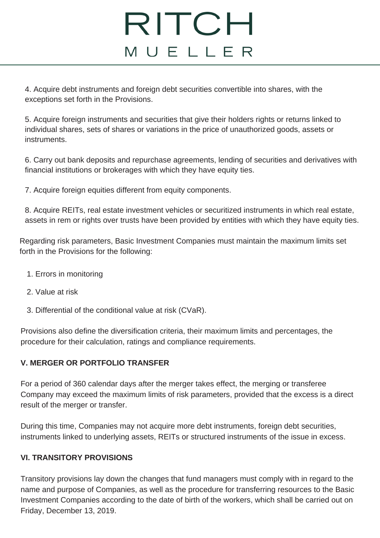4. Acquire debt instruments and foreign debt securities convertible into shares, with the exceptions set forth in the Provisions.

5. Acquire foreign instruments and securities that give their holders rights or returns linked to individual shares, sets of shares or variations in the price of unauthorized goods, assets or instruments.

6. Carry out bank deposits and repurchase agreements, lending of securities and derivatives with financial institutions or brokerages with which they have equity ties.

7. Acquire foreign equities different from equity components.

8. Acquire REITs, real estate investment vehicles or securitized instruments in which real estate, assets in rem or rights over trusts have been provided by entities with which they have equity ties.

Regarding risk parameters, Basic Investment Companies must maintain the maximum limits set forth in the Provisions for the following:

- 1. Errors in monitoring
- 2. Value at risk
- 3. Differential of the conditional value at risk (CVaR).

Provisions also define the diversification criteria, their maximum limits and percentages, the procedure for their calculation, ratings and compliance requirements.

## **V. MERGER OR PORTFOLIO TRANSFER**

For a period of 360 calendar days after the merger takes effect, the merging or transferee Company may exceed the maximum limits of risk parameters, provided that the excess is a direct result of the merger or transfer.

During this time, Companies may not acquire more debt instruments, foreign debt securities, instruments linked to underlying assets, REITs or structured instruments of the issue in excess.

### **VI. TRANSITORY PROVISIONS**

Transitory provisions lay down the changes that fund managers must comply with in regard to the name and purpose of Companies, as well as the procedure for transferring resources to the Basic Investment Companies according to the date of birth of the workers, which shall be carried out on Friday, December 13, 2019.